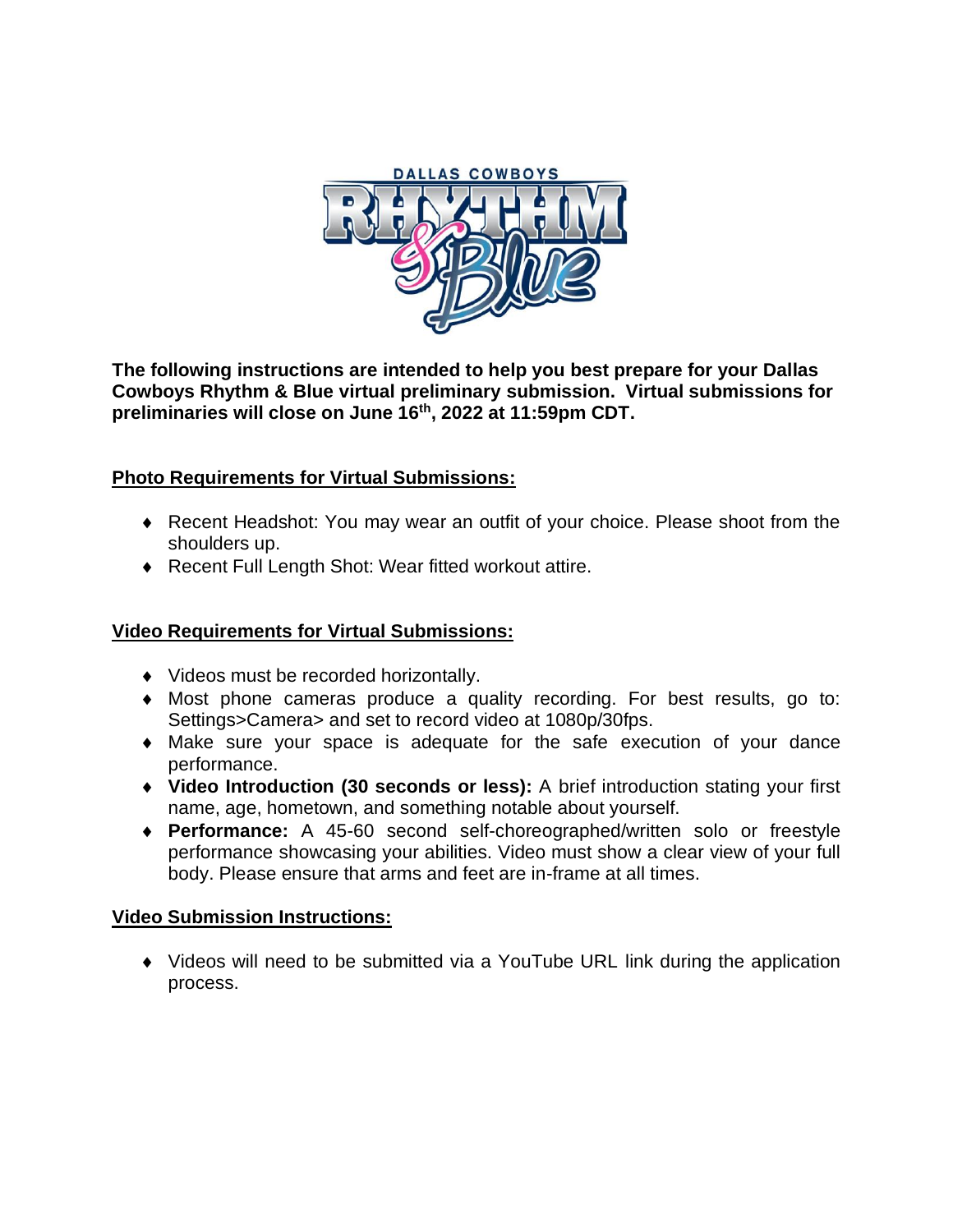

**The following instructions are intended to help you best prepare for your Dallas Cowboys Rhythm & Blue virtual preliminary submission. Virtual submissions for preliminaries will close on June 16 th , 2022 at 11:59pm CDT.**

### **Photo Requirements for Virtual Submissions:**

- Recent Headshot: You may wear an outfit of your choice. Please shoot from the shoulders up.
- ◆ Recent Full Length Shot: Wear fitted workout attire.

### **Video Requirements for Virtual Submissions:**

- ◆ Videos must be recorded horizontally.
- Most phone cameras produce a quality recording. For best results, go to: Settings>Camera> and set to record video at 1080p/30fps.
- Make sure your space is adequate for the safe execution of your dance performance.
- **Video Introduction (30 seconds or less):** A brief introduction stating your first name, age, hometown, and something notable about yourself.
- **Performance:** A 45-60 second self-choreographed/written solo or freestyle performance showcasing your abilities. Video must show a clear view of your full body. Please ensure that arms and feet are in-frame at all times.

### **Video Submission Instructions:**

 Videos will need to be submitted via a YouTube URL link during the application process.